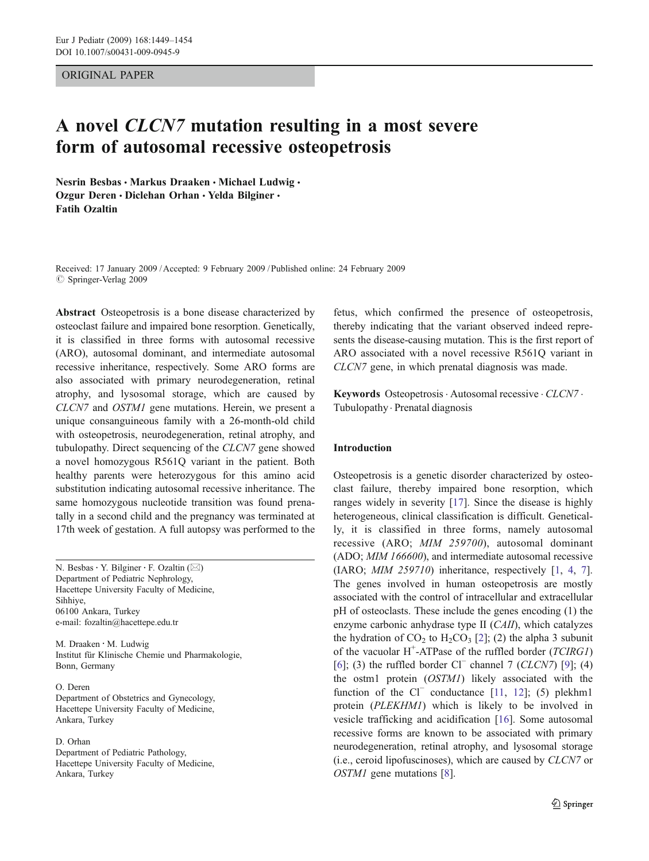## ORIGINAL PAPER

# A novel CLCN7 mutation resulting in a most severe form of autosomal recessive osteopetrosis

Nesrin Besbas · Markus Draaken · Michael Ludwig · Ozgur Deren · Diclehan Orhan · Yelda Bilginer · Fatih Ozaltin

Received: 17 January 2009 /Accepted: 9 February 2009 / Published online: 24 February 2009  $\oslash$  Springer-Verlag 2009

Abstract Osteopetrosis is a bone disease characterized by osteoclast failure and impaired bone resorption. Genetically, it is classified in three forms with autosomal recessive (ARO), autosomal dominant, and intermediate autosomal recessive inheritance, respectively. Some ARO forms are also associated with primary neurodegeneration, retinal atrophy, and lysosomal storage, which are caused by CLCN7 and OSTM1 gene mutations. Herein, we present a unique consanguineous family with a 26-month-old child with osteopetrosis, neurodegeneration, retinal atrophy, and tubulopathy. Direct sequencing of the CLCN7 gene showed a novel homozygous R561Q variant in the patient. Both healthy parents were heterozygous for this amino acid substitution indicating autosomal recessive inheritance. The same homozygous nucleotide transition was found prenatally in a second child and the pregnancy was terminated at 17th week of gestation. A full autopsy was performed to the

N. Besbas: Y. Bilginer : F. Ozaltin (*\**) Department of Pediatric Nephrology, Hacettepe University Faculty of Medicine, Sihhiye, 06100 Ankara, Turkey e-mail: fozaltin@hacettepe.edu.tr

M. Draaken : M. Ludwig Institut für Klinische Chemie und Pharmakologie, Bonn, Germany

O. Deren Department of Obstetrics and Gynecology, Hacettepe University Faculty of Medicine, Ankara, Turkey

## D. Orhan

Department of Pediatric Pathology, Hacettepe University Faculty of Medicine, Ankara, Turkey

fetus, which confirmed the presence of osteopetrosis, thereby indicating that the variant observed indeed represents the disease-causing mutation. This is the first report of ARO associated with a novel recessive R561Q variant in CLCN7 gene, in which prenatal diagnosis was made.

Keywords Osteopetrosis · Autosomal recessive · CLCN7 · Tubulopathy . Prenatal diagnosis

## Introduction

Osteopetrosis is a genetic disorder characterized by osteoclast failure, thereby impaired bone resorption, which ranges widely in severity [[17\]](#page-5-0). Since the disease is highly heterogeneous, clinical classification is difficult. Genetically, it is classified in three forms, namely autosomal recessive (ARO; MIM 259700), autosomal dominant (ADO; MIM 166600), and intermediate autosomal recessive (IARO; MIM 259710) inheritance, respectively [\[1](#page-4-0), [4](#page-4-0), [7\]](#page-4-0). The genes involved in human osteopetrosis are mostly associated with the control of intracellular and extracellular pH of osteoclasts. These include the genes encoding (1) the enzyme carbonic anhydrase type II (CAII), which catalyzes the hydration of  $CO_2$  to  $H_2CO_3$  [\[2](#page-4-0)]; (2) the alpha 3 subunit of the vacuolar H<sup>+</sup>-ATPase of the ruffled border (TCIRG1) [\[6](#page-4-0)]; (3) the ruffled border Cl<sup>−</sup> channel 7 (CLCN7) [\[9](#page-4-0)]; (4) the ostm1 protein (OSTM1) likely associated with the function of the Cl<sup>−</sup> conductance [\[11](#page-4-0), [12](#page-5-0)]; (5) plekhm1 protein (PLEKHM1) which is likely to be involved in vesicle trafficking and acidification [\[16](#page-5-0)]. Some autosomal recessive forms are known to be associated with primary neurodegeneration, retinal atrophy, and lysosomal storage (i.e., ceroid lipofuscinoses), which are caused by CLCN7 or OSTM1 gene mutations [[8\]](#page-4-0).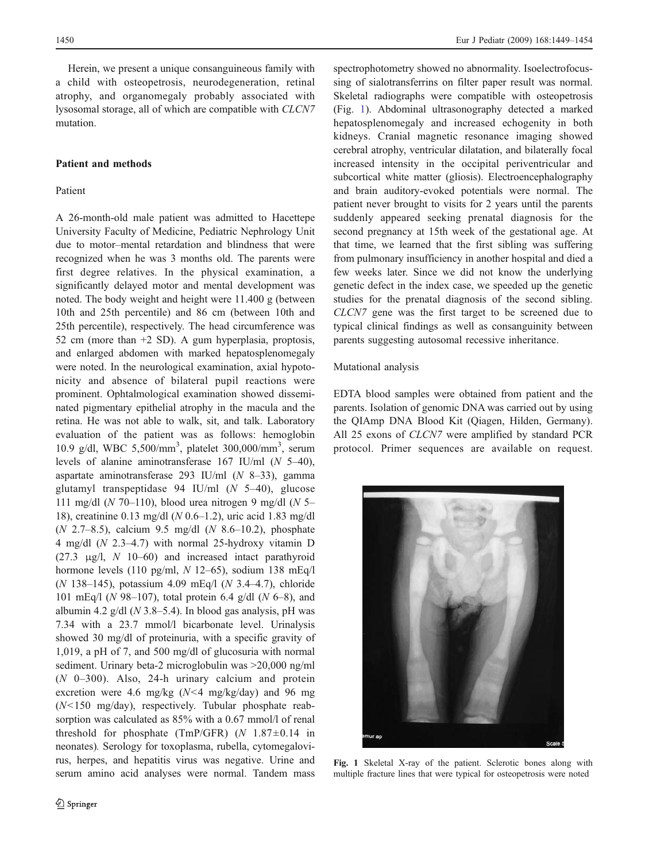Herein, we present a unique consanguineous family with a child with osteopetrosis, neurodegeneration, retinal atrophy, and organomegaly probably associated with lysosomal storage, all of which are compatible with CLCN7 mutation.

## Patient and methods

## Patient

A 26-month-old male patient was admitted to Hacettepe University Faculty of Medicine, Pediatric Nephrology Unit due to motor–mental retardation and blindness that were recognized when he was 3 months old. The parents were first degree relatives. In the physical examination, a significantly delayed motor and mental development was noted. The body weight and height were 11.400 g (between 10th and 25th percentile) and 86 cm (between 10th and 25th percentile), respectively. The head circumference was 52 cm (more than +2 SD). A gum hyperplasia, proptosis, and enlarged abdomen with marked hepatosplenomegaly were noted. In the neurological examination, axial hypotonicity and absence of bilateral pupil reactions were prominent. Ophtalmological examination showed disseminated pigmentary epithelial atrophy in the macula and the retina. He was not able to walk, sit, and talk. Laboratory evaluation of the patient was as follows: hemoglobin 10.9 g/dl, WBC 5,500/mm<sup>3</sup> , platelet 300,000/mm<sup>3</sup> , serum levels of alanine aminotransferase 167 IU/ml (N 5–40), aspartate aminotransferase 293 IU/ml (N 8–33), gamma glutamyl transpeptidase 94 IU/ml  $(N 5-40)$ , glucose 111 mg/dl ( $N$  70–110), blood urea nitrogen 9 mg/dl ( $N$  5– 18), creatinine 0.13 mg/dl (N 0.6–1.2), uric acid 1.83 mg/dl (N 2.7–8.5), calcium 9.5 mg/dl (N 8.6–10.2), phosphate 4 mg/dl (N 2.3–4.7) with normal 25-hydroxy vitamin D (27.3  $\mu$ g/l, N 10–60) and increased intact parathyroid hormone levels (110 pg/ml,  $N$  12–65), sodium 138 mEq/l (N 138–145), potassium 4.09 mEq/l (N 3.4–4.7), chloride 101 mEq/l ( $N$  98–107), total protein 6.4 g/dl ( $N$  6–8), and albumin 4.2 g/dl ( $N$  3.8–5.4). In blood gas analysis, pH was 7.34 with a 23.7 mmol/l bicarbonate level. Urinalysis showed 30 mg/dl of proteinuria, with a specific gravity of 1,019, a pH of 7, and 500 mg/dl of glucosuria with normal sediment. Urinary beta-2 microglobulin was >20,000 ng/ml  $(N \t 0-300)$ . Also, 24-h urinary calcium and protein excretion were 4.6 mg/kg  $(N<4 \text{ mg/kg/day})$  and 96 mg (N<150 mg/day), respectively. Tubular phosphate reabsorption was calculated as 85% with a 0.67 mmol/l of renal threshold for phosphate (TmP/GFR)  $(N \ 1.87 \pm 0.14)$  in neonates). Serology for toxoplasma, rubella, cytomegalovirus, herpes, and hepatitis virus was negative. Urine and serum amino acid analyses were normal. Tandem mass spectrophotometry showed no abnormality. Isoelectrofocussing of sialotransferrins on filter paper result was normal. Skeletal radiographs were compatible with osteopetrosis (Fig. 1). Abdominal ultrasonography detected a marked hepatosplenomegaly and increased echogenity in both kidneys. Cranial magnetic resonance imaging showed cerebral atrophy, ventricular dilatation, and bilaterally focal increased intensity in the occipital periventricular and subcortical white matter (gliosis). Electroencephalography and brain auditory-evoked potentials were normal. The patient never brought to visits for 2 years until the parents suddenly appeared seeking prenatal diagnosis for the second pregnancy at 15th week of the gestational age. At that time, we learned that the first sibling was suffering from pulmonary insufficiency in another hospital and died a few weeks later. Since we did not know the underlying genetic defect in the index case, we speeded up the genetic studies for the prenatal diagnosis of the second sibling. CLCN7 gene was the first target to be screened due to typical clinical findings as well as consanguinity between parents suggesting autosomal recessive inheritance.

## Mutational analysis

EDTA blood samples were obtained from patient and the parents. Isolation of genomic DNA was carried out by using the QIAmp DNA Blood Kit (Qiagen, Hilden, Germany). All 25 exons of CLCN7 were amplified by standard PCR protocol. Primer sequences are available on request.



Fig. 1 Skeletal X-ray of the patient. Sclerotic bones along with multiple fracture lines that were typical for osteopetrosis were noted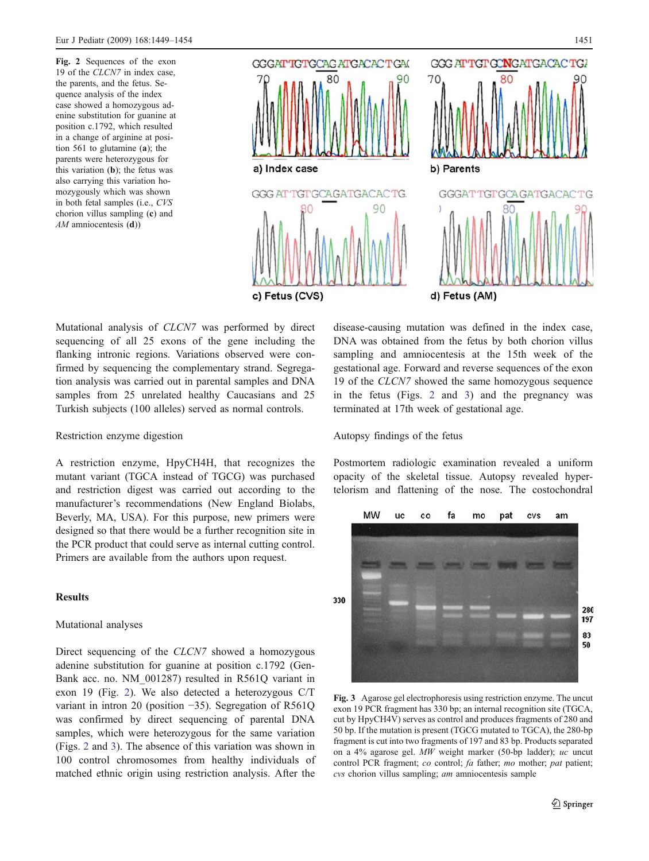Fig. 2 Sequences of the exon 19 of the CLCN7 in index case, the parents, and the fetus. Sequence analysis of the index case showed a homozygous adenine substitution for guanine at position c.1792, which resulted in a change of arginine at position 561 to glutamine (a); the parents were heterozygous for this variation (b); the fetus was also carrying this variation homozygously which was shown in both fetal samples (i.e., CVS chorion villus sampling (c) and  $AM$  amniocentesis  $(d)$ )



Mutational analysis of CLCN7 was performed by direct sequencing of all 25 exons of the gene including the flanking intronic regions. Variations observed were confirmed by sequencing the complementary strand. Segregation analysis was carried out in parental samples and DNA samples from 25 unrelated healthy Caucasians and 25 Turkish subjects (100 alleles) served as normal controls.

#### Restriction enzyme digestion

A restriction enzyme, HpyCH4H, that recognizes the mutant variant (TGCA instead of TGCG) was purchased and restriction digest was carried out according to the manufacturer's recommendations (New England Biolabs, Beverly, MA, USA). For this purpose, new primers were designed so that there would be a further recognition site in the PCR product that could serve as internal cutting control. Primers are available from the authors upon request.

## **Results**

#### Mutational analyses

Direct sequencing of the CLCN7 showed a homozygous adenine substitution for guanine at position c.1792 (Gen-Bank acc. no. NM\_001287) resulted in R561Q variant in exon 19 (Fig. 2). We also detected a heterozygous C/T variant in intron 20 (position −35). Segregation of R561Q was confirmed by direct sequencing of parental DNA samples, which were heterozygous for the same variation (Figs. 2 and 3). The absence of this variation was shown in 100 control chromosomes from healthy individuals of matched ethnic origin using restriction analysis. After the

disease-causing mutation was defined in the index case, DNA was obtained from the fetus by both chorion villus sampling and amniocentesis at the 15th week of the gestational age. Forward and reverse sequences of the exon 19 of the CLCN7 showed the same homozygous sequence in the fetus (Figs. 2 and 3) and the pregnancy was terminated at 17th week of gestational age.

#### Autopsy findings of the fetus

Postmortem radiologic examination revealed a uniform opacity of the skeletal tissue. Autopsy revealed hypertelorism and flattening of the nose. The costochondral



Fig. 3 Agarose gel electrophoresis using restriction enzyme. The uncut exon 19 PCR fragment has 330 bp; an internal recognition site (TGCA, cut by HpyCH4V) serves as control and produces fragments of 280 and 50 bp. If the mutation is present (TGCG mutated to TGCA), the 280-bp fragment is cut into two fragments of 197 and 83 bp. Products separated on a 4% agarose gel. MW weight marker (50-bp ladder); uc uncut control PCR fragment; co control; fa father; mo mother; pat patient; cvs chorion villus sampling; am amniocentesis sample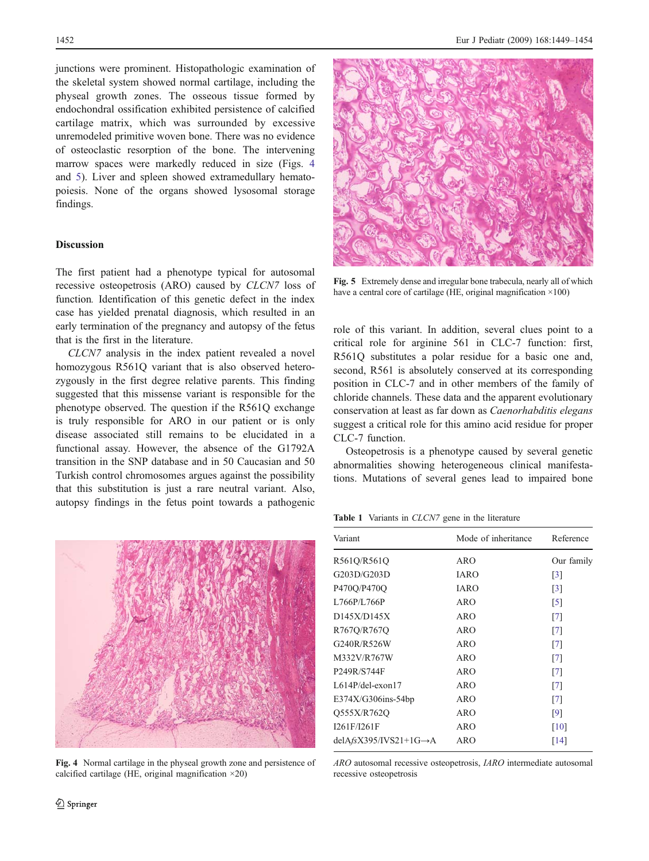<span id="page-3-0"></span>junctions were prominent. Histopathologic examination of the skeletal system showed normal cartilage, including the physeal growth zones. The osseous tissue formed by endochondral ossification exhibited persistence of calcified cartilage matrix, which was surrounded by excessive unremodeled primitive woven bone. There was no evidence of osteoclastic resorption of the bone. The intervening marrow spaces were markedly reduced in size (Figs. 4 and 5). Liver and spleen showed extramedullary hematopoiesis. None of the organs showed lysosomal storage findings.

## Discussion

The first patient had a phenotype typical for autosomal recessive osteopetrosis (ARO) caused by CLCN7 loss of function. Identification of this genetic defect in the index case has yielded prenatal diagnosis, which resulted in an early termination of the pregnancy and autopsy of the fetus that is the first in the literature.

CLCN7 analysis in the index patient revealed a novel homozygous R561Q variant that is also observed heterozygously in the first degree relative parents. This finding suggested that this missense variant is responsible for the phenotype observed. The question if the R561Q exchange is truly responsible for ARO in our patient or is only disease associated still remains to be elucidated in a functional assay. However, the absence of the G1792A transition in the SNP database and in 50 Caucasian and 50 Turkish control chromosomes argues against the possibility that this substitution is just a rare neutral variant. Also, autopsy findings in the fetus point towards a pathogenic



Fig. 4 Normal cartilage in the physeal growth zone and persistence of calcified cartilage (HE, original magnification  $\times$ 20)



Fig. 5 Extremely dense and irregular bone trabecula, nearly all of which have a central core of cartilage (HE, original magnification  $\times$ 100)

role of this variant. In addition, several clues point to a critical role for arginine 561 in CLC-7 function: first, R561Q substitutes a polar residue for a basic one and, second, R561 is absolutely conserved at its corresponding position in CLC-7 and in other members of the family of chloride channels. These data and the apparent evolutionary conservation at least as far down as Caenorhabditis elegans suggest a critical role for this amino acid residue for proper CLC-7 function.

Osteopetrosis is a phenotype caused by several genetic abnormalities showing heterogeneous clinical manifestations. Mutations of several genes lead to impaired bone

Table 1 Variants in CLCN7 gene in the literature

| Variant                            | Mode of inheritance | Reference         |
|------------------------------------|---------------------|-------------------|
| R561Q/R561Q                        | ARO                 | Our family        |
| G203D/G203D                        | IARO                | $\lceil 3 \rceil$ |
| P470Q/P470Q                        | <b>IARO</b>         | $\lceil 3 \rceil$ |
| L766P/L766P                        | ARO                 | $\lceil 5 \rceil$ |
| D145X/D145X                        | ARO                 | [7]               |
| R767Q/R767Q                        | ARO                 | $\lceil 7 \rceil$ |
| G240R/R526W                        | ARO                 | $\lceil 7 \rceil$ |
| M332V/R767W                        | ARO                 | [7]               |
| P249R/S744F                        | ARO                 | $\lceil 7 \rceil$ |
| $L614P$ /del-exon17                | ARO                 | $\lceil 7 \rceil$ |
| $E374X/G306ins-54bp$               | ARO                 | $\lceil 7 \rceil$ |
| Q555X/R762Q                        | ARO                 | [9]               |
| I261F/I261F                        | ARO                 | [10]              |
| $delAfsX395/IVS21+1G\rightarrow A$ | ARO                 | [14]              |

ARO autosomal recessive osteopetrosis, IARO intermediate autosomal recessive osteopetrosis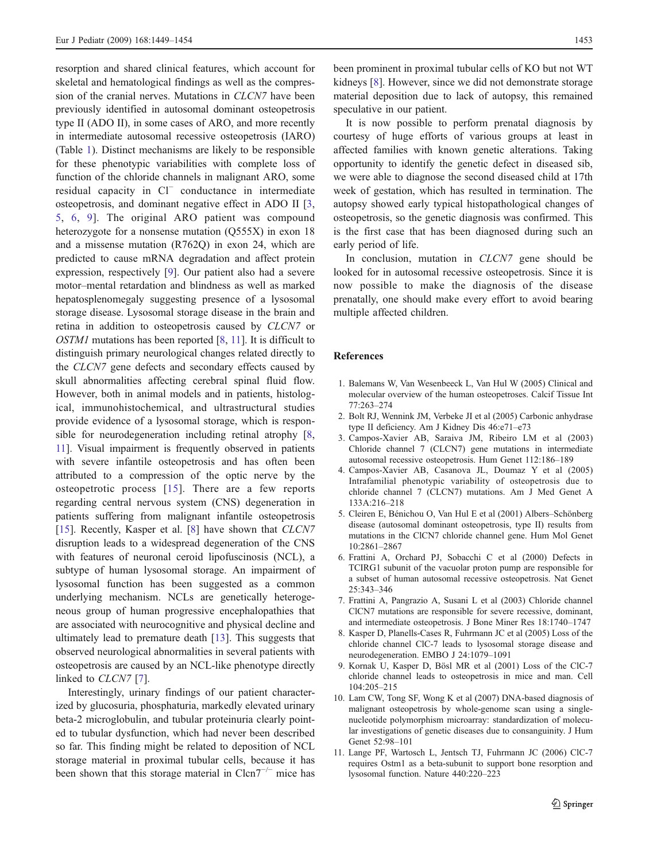<span id="page-4-0"></span>resorption and shared clinical features, which account for skeletal and hematological findings as well as the compression of the cranial nerves. Mutations in CLCN7 have been previously identified in autosomal dominant osteopetrosis type II (ADO II), in some cases of ARO, and more recently in intermediate autosomal recessive osteopetrosis (IARO) (Table [1](#page-3-0)). Distinct mechanisms are likely to be responsible for these phenotypic variabilities with complete loss of function of the chloride channels in malignant ARO, some residual capacity in Cl<sup>−</sup> conductance in intermediate osteopetrosis, and dominant negative effect in ADO II [3, 5, 6, 9]. The original ARO patient was compound heterozygote for a nonsense mutation (Q555X) in exon 18 and a missense mutation (R762Q) in exon 24, which are predicted to cause mRNA degradation and affect protein expression, respectively [9]. Our patient also had a severe motor–mental retardation and blindness as well as marked hepatosplenomegaly suggesting presence of a lysosomal storage disease. Lysosomal storage disease in the brain and retina in addition to osteopetrosis caused by CLCN7 or OSTM1 mutations has been reported [8, 11]. It is difficult to distinguish primary neurological changes related directly to the CLCN7 gene defects and secondary effects caused by skull abnormalities affecting cerebral spinal fluid flow. However, both in animal models and in patients, histological, immunohistochemical, and ultrastructural studies provide evidence of a lysosomal storage, which is responsible for neurodegeneration including retinal atrophy [8, 11]. Visual impairment is frequently observed in patients with severe infantile osteopetrosis and has often been attributed to a compression of the optic nerve by the osteopetrotic process [\[15](#page-5-0)]. There are a few reports regarding central nervous system (CNS) degeneration in patients suffering from malignant infantile osteopetrosis [\[15](#page-5-0)]. Recently, Kasper et al. [8] have shown that CLCN7 disruption leads to a widespread degeneration of the CNS with features of neuronal ceroid lipofuscinosis (NCL), a subtype of human lysosomal storage. An impairment of lysosomal function has been suggested as a common underlying mechanism. NCLs are genetically heterogeneous group of human progressive encephalopathies that are associated with neurocognitive and physical decline and ultimately lead to premature death [\[13](#page-5-0)]. This suggests that observed neurological abnormalities in several patients with osteopetrosis are caused by an NCL-like phenotype directly linked to *CLCN7* [7].

Interestingly, urinary findings of our patient characterized by glucosuria, phosphaturia, markedly elevated urinary beta-2 microglobulin, and tubular proteinuria clearly pointed to tubular dysfunction, which had never been described so far. This finding might be related to deposition of NCL storage material in proximal tubular cells, because it has been shown that this storage material in  $C \text{len}7^{-/-}$  mice has

been prominent in proximal tubular cells of KO but not WT kidneys [8]. However, since we did not demonstrate storage material deposition due to lack of autopsy, this remained speculative in our patient.

It is now possible to perform prenatal diagnosis by courtesy of huge efforts of various groups at least in affected families with known genetic alterations. Taking opportunity to identify the genetic defect in diseased sib, we were able to diagnose the second diseased child at 17th week of gestation, which has resulted in termination. The autopsy showed early typical histopathological changes of osteopetrosis, so the genetic diagnosis was confirmed. This is the first case that has been diagnosed during such an early period of life.

In conclusion, mutation in CLCN7 gene should be looked for in autosomal recessive osteopetrosis. Since it is now possible to make the diagnosis of the disease prenatally, one should make every effort to avoid bearing multiple affected children.

## References

- 1. Balemans W, Van Wesenbeeck L, Van Hul W (2005) Clinical and molecular overview of the human osteopetroses. Calcif Tissue Int 77:263–274
- 2. Bolt RJ, Wennink JM, Verbeke JI et al (2005) Carbonic anhydrase type II deficiency. Am J Kidney Dis 46:e71–e73
- 3. Campos-Xavier AB, Saraiva JM, Ribeiro LM et al (2003) Chloride channel 7 (CLCN7) gene mutations in intermediate autosomal recessive osteopetrosis. Hum Genet 112:186–189
- 4. Campos-Xavier AB, Casanova JL, Doumaz Y et al (2005) Intrafamilial phenotypic variability of osteopetrosis due to chloride channel 7 (CLCN7) mutations. Am J Med Genet A 133A:216–218
- 5. Cleiren E, Bénichou O, Van Hul E et al (2001) Albers–Schönberg disease (autosomal dominant osteopetrosis, type II) results from mutations in the ClCN7 chloride channel gene. Hum Mol Genet 10:2861–2867
- 6. Frattini A, Orchard PJ, Sobacchi C et al (2000) Defects in TCIRG1 subunit of the vacuolar proton pump are responsible for a subset of human autosomal recessive osteopetrosis. Nat Genet 25:343–346
- 7. Frattini A, Pangrazio A, Susani L et al (2003) Chloride channel ClCN7 mutations are responsible for severe recessive, dominant, and intermediate osteopetrosis. J Bone Miner Res 18:1740–1747
- 8. Kasper D, Planells-Cases R, Fuhrmann JC et al (2005) Loss of the chloride channel ClC-7 leads to lysosomal storage disease and neurodegeneration. EMBO J 24:1079–1091
- 9. Kornak U, Kasper D, Bösl MR et al (2001) Loss of the ClC-7 chloride channel leads to osteopetrosis in mice and man. Cell 104:205–215
- 10. Lam CW, Tong SF, Wong K et al (2007) DNA-based diagnosis of malignant osteopetrosis by whole-genome scan using a singlenucleotide polymorphism microarray: standardization of molecular investigations of genetic diseases due to consanguinity. J Hum Genet 52:98–101
- 11. Lange PF, Wartosch L, Jentsch TJ, Fuhrmann JC (2006) ClC-7 requires Ostm1 as a beta-subunit to support bone resorption and lysosomal function. Nature 440:220–223